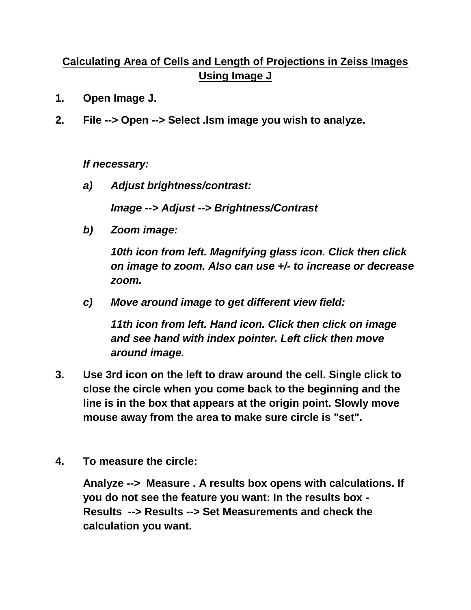## **Calculating Area of Cells and Length of Projections in Zeiss Images Using Image J**

- **1. Open Image J.**
- **2. File --> Open --> Select .lsm image you wish to analyze.**

*If necessary:*

*a) Adjust brightness/contrast:*

*Image --> Adjust --> Brightness/Contrast*

*b) Zoom image:*

*10th icon from left. Magnifying glass icon. Click then click on image to zoom. Also can use +/- to increase or decrease zoom.*

*c) Move around image to get different view field:*

*11th icon from left. Hand icon. Click then click on image and see hand with index pointer. Left click then move around image.*

- **3. Use 3rd icon on the left to draw around the cell. Single click to close the circle when you come back to the beginning and the line is in the box that appears at the origin point. Slowly move mouse away from the area to make sure circle is "set".**
- **4. To measure the circle:**

**Analyze --> Measure . A results box opens with calculations. If you do not see the feature you want: In the results box - Results --> Results --> Set Measurements and check the calculation you want.**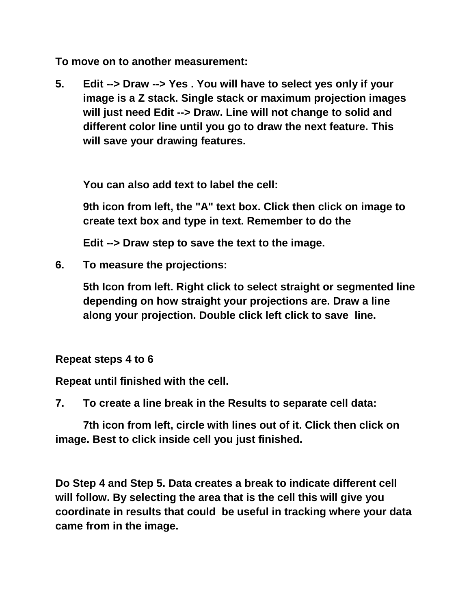**To move on to another measurement:**

**5. Edit --> Draw --> Yes . You will have to select yes only if your image is a Z stack. Single stack or maximum projection images will just need Edit --> Draw. Line will not change to solid and different color line until you go to draw the next feature. This will save your drawing features.**

**You can also add text to label the cell:**

**9th icon from left, the "A" text box. Click then click on image to create text box and type in text. Remember to do the** 

**Edit --> Draw step to save the text to the image.**

**6. To measure the projections:**

**5th Icon from left. Right click to select straight or segmented line depending on how straight your projections are. Draw a line along your projection. Double click left click to save line.** 

**Repeat steps 4 to 6**

**Repeat until finished with the cell.**

**7. To create a line break in the Results to separate cell data:**

**7th icon from left, circle with lines out of it. Click then click on image. Best to click inside cell you just finished.** 

**Do Step 4 and Step 5. Data creates a break to indicate different cell will follow. By selecting the area that is the cell this will give you coordinate in results that could be useful in tracking where your data came from in the image.**